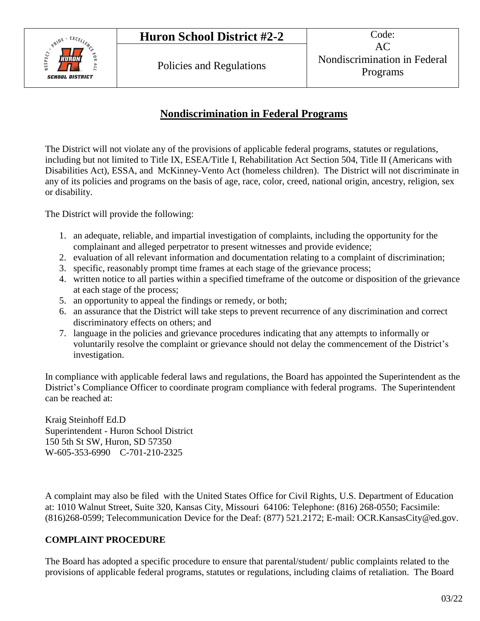

### **Nondiscrimination in Federal Programs**

The District will not violate any of the provisions of applicable federal programs, statutes or regulations, including but not limited to Title IX, ESEA/Title I, Rehabilitation Act Section 504, Title II (Americans with Disabilities Act), ESSA, and McKinney-Vento Act (homeless children). The District will not discriminate in any of its policies and programs on the basis of age, race, color, creed, national origin, ancestry, religion, sex or disability.

The District will provide the following:

- 1. an adequate, reliable, and impartial investigation of complaints, including the opportunity for the complainant and alleged perpetrator to present witnesses and provide evidence;
- 2. evaluation of all relevant information and documentation relating to a complaint of discrimination;
- 3. specific, reasonably prompt time frames at each stage of the grievance process;
- 4. written notice to all parties within a specified timeframe of the outcome or disposition of the grievance at each stage of the process;
- 5. an opportunity to appeal the findings or remedy, or both;
- 6. an assurance that the District will take steps to prevent recurrence of any discrimination and correct discriminatory effects on others; and
- 7. language in the policies and grievance procedures indicating that any attempts to informally or voluntarily resolve the complaint or grievance should not delay the commencement of the District's investigation.

In compliance with applicable federal laws and regulations, the Board has appointed the Superintendent as the District's Compliance Officer to coordinate program compliance with federal programs. The Superintendent can be reached at:

Kraig Steinhoff Ed.D Superintendent - Huron School District 150 5th St SW, Huron, SD 57350 W-605-353-6990 C-701-210-2325

A complaint may also be filed with the United States Office for Civil Rights, U.S. Department of Education at: 1010 Walnut Street, Suite 320, Kansas City, Missouri 64106: Telephone: (816) 268-0550; Facsimile: (816)268-0599; Telecommunication Device for the Deaf: (877) 521.2172; E-mail: OCR.KansasCity@ed.gov.

#### **COMPLAINT PROCEDURE**

The Board has adopted a specific procedure to ensure that parental/student/ public complaints related to the provisions of applicable federal programs, statutes or regulations, including claims of retaliation. The Board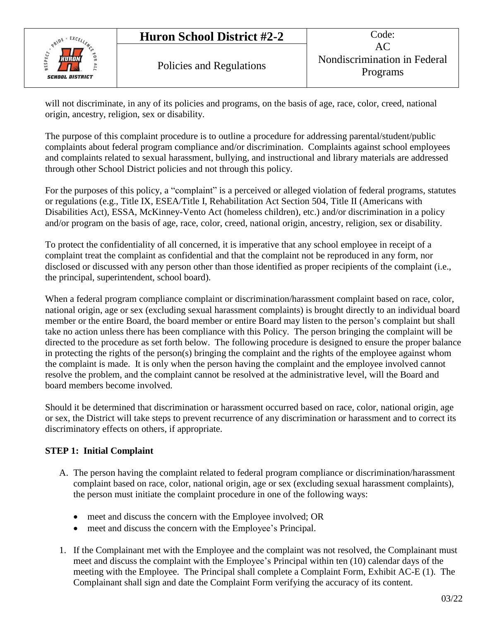### **Huron School District #2-2** Code:



will not discriminate, in any of its policies and programs, on the basis of age, race, color, creed, national origin, ancestry, religion, sex or disability.

The purpose of this complaint procedure is to outline a procedure for addressing parental/student/public complaints about federal program compliance and/or discrimination. Complaints against school employees and complaints related to sexual harassment, bullying, and instructional and library materials are addressed through other School District policies and not through this policy.

For the purposes of this policy, a "complaint" is a perceived or alleged violation of federal programs, statutes or regulations (e.g., Title IX, ESEA/Title I, Rehabilitation Act Section 504, Title II (Americans with Disabilities Act), ESSA, McKinney-Vento Act (homeless children), etc.) and/or discrimination in a policy and/or program on the basis of age, race, color, creed, national origin, ancestry, religion, sex or disability.

To protect the confidentiality of all concerned, it is imperative that any school employee in receipt of a complaint treat the complaint as confidential and that the complaint not be reproduced in any form, nor disclosed or discussed with any person other than those identified as proper recipients of the complaint (i.e., the principal, superintendent, school board).

When a federal program compliance complaint or discrimination/harassment complaint based on race, color, national origin, age or sex (excluding sexual harassment complaints) is brought directly to an individual board member or the entire Board, the board member or entire Board may listen to the person's complaint but shall take no action unless there has been compliance with this Policy. The person bringing the complaint will be directed to the procedure as set forth below. The following procedure is designed to ensure the proper balance in protecting the rights of the person(s) bringing the complaint and the rights of the employee against whom the complaint is made. It is only when the person having the complaint and the employee involved cannot resolve the problem, and the complaint cannot be resolved at the administrative level, will the Board and board members become involved.

Should it be determined that discrimination or harassment occurred based on race, color, national origin, age or sex, the District will take steps to prevent recurrence of any discrimination or harassment and to correct its discriminatory effects on others, if appropriate.

#### **STEP 1: Initial Complaint**

- A. The person having the complaint related to federal program compliance or discrimination/harassment complaint based on race, color, national origin, age or sex (excluding sexual harassment complaints), the person must initiate the complaint procedure in one of the following ways:
	- meet and discuss the concern with the Employee involved; OR
	- meet and discuss the concern with the Employee's Principal.
- 1. If the Complainant met with the Employee and the complaint was not resolved, the Complainant must meet and discuss the complaint with the Employee's Principal within ten (10) calendar days of the meeting with the Employee. The Principal shall complete a Complaint Form, Exhibit AC-E (1). The Complainant shall sign and date the Complaint Form verifying the accuracy of its content.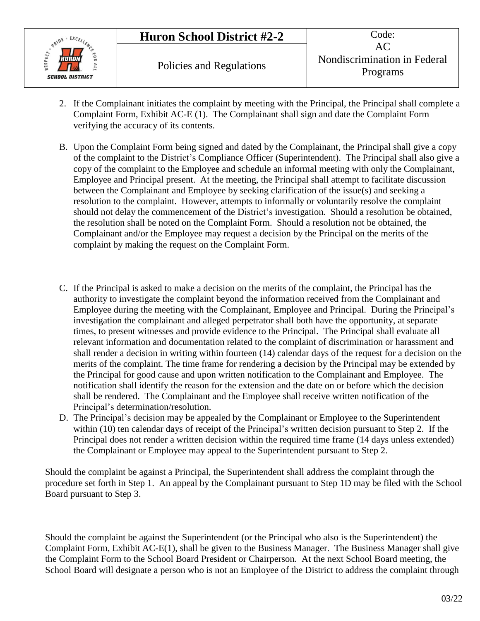

- 2. If the Complainant initiates the complaint by meeting with the Principal, the Principal shall complete a Complaint Form, Exhibit AC-E (1). The Complainant shall sign and date the Complaint Form verifying the accuracy of its contents.
- B. Upon the Complaint Form being signed and dated by the Complainant, the Principal shall give a copy of the complaint to the District's Compliance Officer (Superintendent). The Principal shall also give a copy of the complaint to the Employee and schedule an informal meeting with only the Complainant, Employee and Principal present. At the meeting, the Principal shall attempt to facilitate discussion between the Complainant and Employee by seeking clarification of the issue(s) and seeking a resolution to the complaint. However, attempts to informally or voluntarily resolve the complaint should not delay the commencement of the District's investigation. Should a resolution be obtained, the resolution shall be noted on the Complaint Form. Should a resolution not be obtained, the Complainant and/or the Employee may request a decision by the Principal on the merits of the complaint by making the request on the Complaint Form.
- C. If the Principal is asked to make a decision on the merits of the complaint, the Principal has the authority to investigate the complaint beyond the information received from the Complainant and Employee during the meeting with the Complainant, Employee and Principal. During the Principal's investigation the complainant and alleged perpetrator shall both have the opportunity, at separate times, to present witnesses and provide evidence to the Principal. The Principal shall evaluate all relevant information and documentation related to the complaint of discrimination or harassment and shall render a decision in writing within fourteen (14) calendar days of the request for a decision on the merits of the complaint. The time frame for rendering a decision by the Principal may be extended by the Principal for good cause and upon written notification to the Complainant and Employee. The notification shall identify the reason for the extension and the date on or before which the decision shall be rendered. The Complainant and the Employee shall receive written notification of the Principal's determination/resolution.
- D. The Principal's decision may be appealed by the Complainant or Employee to the Superintendent within (10) ten calendar days of receipt of the Principal's written decision pursuant to Step 2. If the Principal does not render a written decision within the required time frame (14 days unless extended) the Complainant or Employee may appeal to the Superintendent pursuant to Step 2.

Should the complaint be against a Principal, the Superintendent shall address the complaint through the procedure set forth in Step 1. An appeal by the Complainant pursuant to Step 1D may be filed with the School Board pursuant to Step 3.

Should the complaint be against the Superintendent (or the Principal who also is the Superintendent) the Complaint Form, Exhibit AC-E(1), shall be given to the Business Manager. The Business Manager shall give the Complaint Form to the School Board President or Chairperson. At the next School Board meeting, the School Board will designate a person who is not an Employee of the District to address the complaint through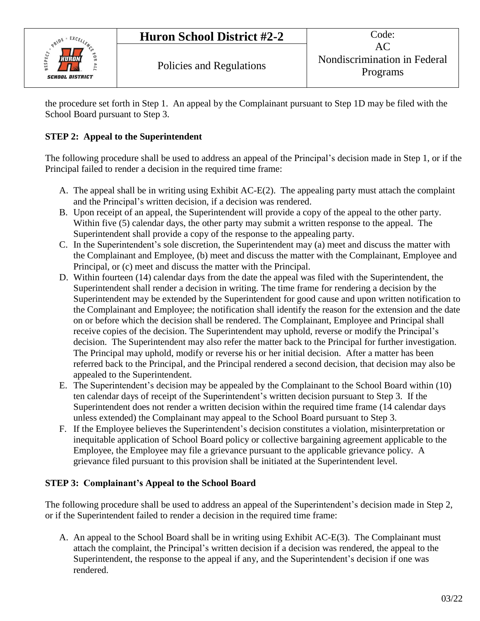

the procedure set forth in Step 1. An appeal by the Complainant pursuant to Step 1D may be filed with the School Board pursuant to Step 3.

#### **STEP 2: Appeal to the Superintendent**

The following procedure shall be used to address an appeal of the Principal's decision made in Step 1, or if the Principal failed to render a decision in the required time frame:

- A. The appeal shall be in writing using Exhibit AC-E(2). The appealing party must attach the complaint and the Principal's written decision, if a decision was rendered.
- B. Upon receipt of an appeal, the Superintendent will provide a copy of the appeal to the other party. Within five (5) calendar days, the other party may submit a written response to the appeal. The Superintendent shall provide a copy of the response to the appealing party.
- C. In the Superintendent's sole discretion, the Superintendent may (a) meet and discuss the matter with the Complainant and Employee, (b) meet and discuss the matter with the Complainant, Employee and Principal, or (c) meet and discuss the matter with the Principal.
- D. Within fourteen (14) calendar days from the date the appeal was filed with the Superintendent, the Superintendent shall render a decision in writing. The time frame for rendering a decision by the Superintendent may be extended by the Superintendent for good cause and upon written notification to the Complainant and Employee; the notification shall identify the reason for the extension and the date on or before which the decision shall be rendered. The Complainant, Employee and Principal shall receive copies of the decision. The Superintendent may uphold, reverse or modify the Principal's decision. The Superintendent may also refer the matter back to the Principal for further investigation. The Principal may uphold, modify or reverse his or her initial decision. After a matter has been referred back to the Principal, and the Principal rendered a second decision, that decision may also be appealed to the Superintendent.
- E. The Superintendent's decision may be appealed by the Complainant to the School Board within (10) ten calendar days of receipt of the Superintendent's written decision pursuant to Step 3. If the Superintendent does not render a written decision within the required time frame (14 calendar days unless extended) the Complainant may appeal to the School Board pursuant to Step 3.
- F. If the Employee believes the Superintendent's decision constitutes a violation, misinterpretation or inequitable application of School Board policy or collective bargaining agreement applicable to the Employee, the Employee may file a grievance pursuant to the applicable grievance policy. A grievance filed pursuant to this provision shall be initiated at the Superintendent level.

#### **STEP 3: Complainant's Appeal to the School Board**

The following procedure shall be used to address an appeal of the Superintendent's decision made in Step 2, or if the Superintendent failed to render a decision in the required time frame:

A. An appeal to the School Board shall be in writing using Exhibit AC-E(3). The Complainant must attach the complaint, the Principal's written decision if a decision was rendered, the appeal to the Superintendent, the response to the appeal if any, and the Superintendent's decision if one was rendered.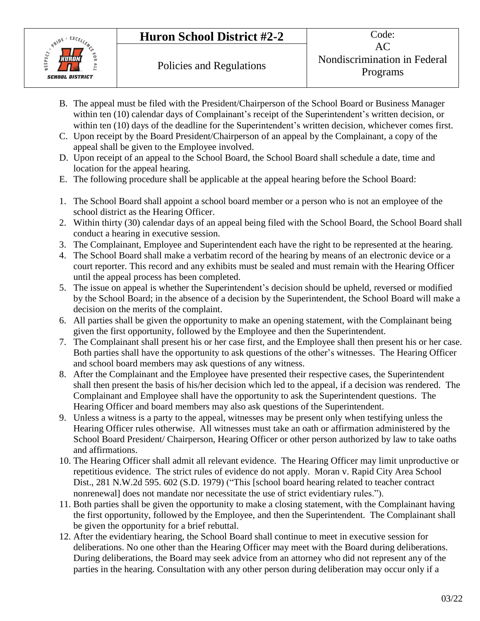# **Huron School District #2-2** Code:



- B. The appeal must be filed with the President/Chairperson of the School Board or Business Manager within ten (10) calendar days of Complainant's receipt of the Superintendent's written decision, or within ten (10) days of the deadline for the Superintendent's written decision, whichever comes first.
- C. Upon receipt by the Board President/Chairperson of an appeal by the Complainant, a copy of the appeal shall be given to the Employee involved.
- D. Upon receipt of an appeal to the School Board, the School Board shall schedule a date, time and location for the appeal hearing.
- E. The following procedure shall be applicable at the appeal hearing before the School Board:
- 1. The School Board shall appoint a school board member or a person who is not an employee of the school district as the Hearing Officer.
- 2. Within thirty (30) calendar days of an appeal being filed with the School Board, the School Board shall conduct a hearing in executive session.
- 3. The Complainant, Employee and Superintendent each have the right to be represented at the hearing.
- 4. The School Board shall make a verbatim record of the hearing by means of an electronic device or a court reporter. This record and any exhibits must be sealed and must remain with the Hearing Officer until the appeal process has been completed.
- 5. The issue on appeal is whether the Superintendent's decision should be upheld, reversed or modified by the School Board; in the absence of a decision by the Superintendent, the School Board will make a decision on the merits of the complaint.
- 6. All parties shall be given the opportunity to make an opening statement, with the Complainant being given the first opportunity, followed by the Employee and then the Superintendent.
- 7. The Complainant shall present his or her case first, and the Employee shall then present his or her case. Both parties shall have the opportunity to ask questions of the other's witnesses. The Hearing Officer and school board members may ask questions of any witness.
- 8. After the Complainant and the Employee have presented their respective cases, the Superintendent shall then present the basis of his/her decision which led to the appeal, if a decision was rendered. The Complainant and Employee shall have the opportunity to ask the Superintendent questions. The Hearing Officer and board members may also ask questions of the Superintendent.
- 9. Unless a witness is a party to the appeal, witnesses may be present only when testifying unless the Hearing Officer rules otherwise. All witnesses must take an oath or affirmation administered by the School Board President/ Chairperson, Hearing Officer or other person authorized by law to take oaths and affirmations.
- 10. The Hearing Officer shall admit all relevant evidence. The Hearing Officer may limit unproductive or repetitious evidence. The strict rules of evidence do not apply. Moran v. Rapid City Area School Dist., 281 N.W.2d 595. 602 (S.D. 1979) ("This [school board hearing related to teacher contract nonrenewal] does not mandate nor necessitate the use of strict evidentiary rules.").
- 11. Both parties shall be given the opportunity to make a closing statement, with the Complainant having the first opportunity, followed by the Employee, and then the Superintendent. The Complainant shall be given the opportunity for a brief rebuttal.
- 12. After the evidentiary hearing, the School Board shall continue to meet in executive session for deliberations. No one other than the Hearing Officer may meet with the Board during deliberations. During deliberations, the Board may seek advice from an attorney who did not represent any of the parties in the hearing. Consultation with any other person during deliberation may occur only if a